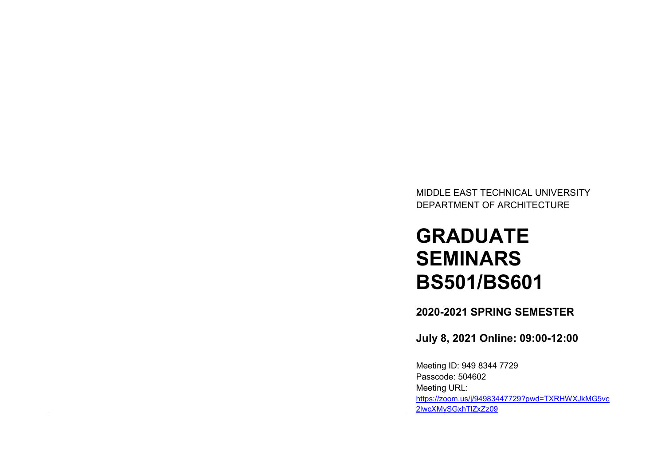MIDDLE EAST TECHNICAL UNIVERSITY DEPARTMENT OF ARCHITECTURE

# GRADUATE **SEMINARS** BS501/BS601

2020-2021 SPRING SEMESTER

July 8, 2021 Online: 09:00-12:00

Meeting ID: 949 8344 7729 Passcode: 504602 Meeting URL: https://zoom.us/j/94983447729?pwd=TXRHWXJkMG5vc 2lwcXMySGxhTlZxZz09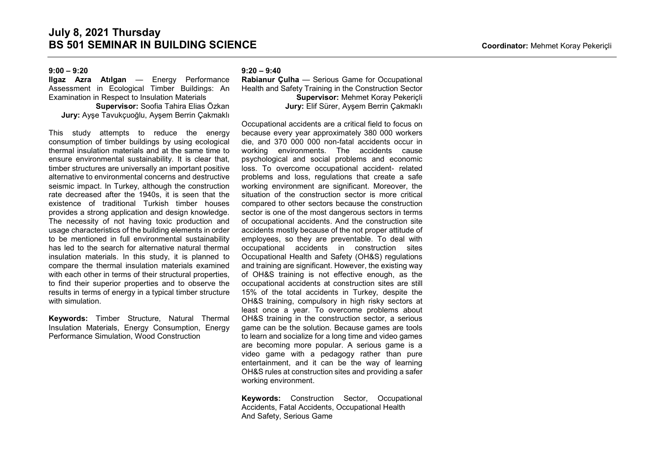# $9:00 - 9:20$

Ilgaz Azra Atılgan — Energy Performance Assessment in Ecological Timber Buildings: An Examination in Respect to Insulation Materials

Supervisor: Soofia Tahira Elias Özkan Jury: Ayşe Tavukçuoğlu, Ayşem Berrin Çakmaklı

This study attempts to reduce the energy consumption of timber buildings by using ecological thermal insulation materials and at the same time to ensure environmental sustainability. It is clear that, timber structures are universally an important positive alternative to environmental concerns and destructive seismic impact. In Turkey, although the construction rate decreased after the 1940s, it is seen that the existence of traditional Turkish timber houses provides a strong application and design knowledge. The necessity of not having toxic production and usage characteristics of the building elements in order to be mentioned in full environmental sustainability has led to the search for alternative natural thermal insulation materials. In this study, it is planned to compare the thermal insulation materials examined with each other in terms of their structural properties. to find their superior properties and to observe the results in terms of energy in a typical timber structure with simulation.

Keywords: Timber Structure, Natural Thermal Insulation Materials, Energy Consumption, Energy Performance Simulation, Wood Construction

#### $9:20 - 9:40$

Rabianur Çulha — Serious Game for Occupational Health and Safety Training in the Construction Sector Supervisor: Mehmet Koray Pekeriçli Jury: Elif Sürer, Ayşem Berrin Çakmaklı

Occupational accidents are a critical field to focus on because every year approximately 380 000 workers die, and 370 000 000 non-fatal accidents occur in working environments. The accidents cause psychological and social problems and economic loss. To overcome occupational accident- related problems and loss, regulations that create a safe working environment are significant. Moreover, the situation of the construction sector is more critical compared to other sectors because the construction sector is one of the most dangerous sectors in terms of occupational accidents. And the construction site accidents mostly because of the not proper attitude of employees, so they are preventable. To deal with occupational accidents in construction sites Occupational Health and Safety (OH&S) regulations and training are significant. However, the existing way of OH&S training is not effective enough, as the occupational accidents at construction sites are still 15% of the total accidents in Turkey, despite the OH&S training, compulsory in high risky sectors at least once a year. To overcome problems about OH&S training in the construction sector, a serious game can be the solution. Because games are tools to learn and socialize for a long time and video games are becoming more popular. A serious game is a video game with a pedagogy rather than pure entertainment, and it can be the way of learning OH&S rules at construction sites and providing a safer working environment.

Keywords: Construction Sector, Occupational Accidents, Fatal Accidents, Occupational Health And Safety, Serious Game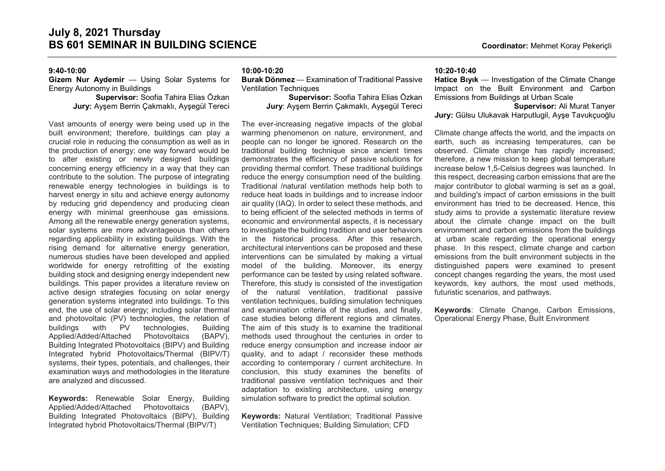# 9:40-10:00

# Gizem Nur Aydemir — Using Solar Systems for Energy Autonomy in Buildings

Supervisor: Soofia Tahira Elias Özkan Jury: Ayşem Berrin Çakmaklı, Ayşegül Tereci

Vast amounts of energy were being used up in the built environment; therefore, buildings can play a crucial role in reducing the consumption as well as in the production of energy; one way forward would be to alter existing or newly designed buildings concerning energy efficiency in a way that they can contribute to the solution. The purpose of integrating renewable energy technologies in buildings is to harvest energy in situ and achieve energy autonomy by reducing grid dependency and producing clean energy with minimal greenhouse gas emissions. Among all the renewable energy generation systems, solar systems are more advantageous than others regarding applicability in existing buildings. With the rising demand for alternative energy generation, numerous studies have been developed and applied worldwide for energy retrofitting of the existing building stock and designing energy independent new buildings. This paper provides a literature review on active design strategies focusing on solar energy generation systems integrated into buildings. To this end, the use of solar energy; including solar thermal and photovoltaic (PV) technologies, the relation of buildings with PV technologies, Building Applied/Added/Attached Photovoltaics (BAPV), Building Integrated Photovoltaics (BIPV) and Building Integrated hybrid Photovoltaics/Thermal (BIPV/T) systems, their types, potentials, and challenges, their examination ways and methodologies in the literature are analyzed and discussed.

Keywords: Renewable Solar Energy, Building Applied/Added/Attached Photovoltaics (BAPV), Building Integrated Photovoltaics (BIPV), Building Integrated hybrid Photovoltaics/Thermal (BIPV/T)

#### 10:00-10:20

Burak Dönmez — Examination of Traditional Passive Ventilation Techniques

Supervisor: Soofia Tahira Elias Özkan Jury: Ayşem Berrin Çakmaklı, Ayşegül Tereci

The ever-increasing negative impacts of the global warming phenomenon on nature, environment, and people can no longer be ignored. Research on the traditional building technique since ancient times demonstrates the efficiency of passive solutions for providing thermal comfort. These traditional buildings reduce the energy consumption need of the building. Traditional /natural ventilation methods help both to reduce heat loads in buildings and to increase indoor air quality (IAQ). In order to select these methods, and to being efficient of the selected methods in terms of economic and environmental aspects, it is necessary to investigate the building tradition and user behaviors in the historical process. After this research, architectural interventions can be proposed and these interventions can be simulated by making a virtual model of the building. Moreover, its energy performance can be tested by using related software. Therefore, this study is consisted of the investigation of the natural ventilation, traditional passive ventilation techniques, building simulation techniques and examination criteria of the studies, and finally, case studies belong different regions and climates. The aim of this study is to examine the traditional methods used throughout the centuries in order to reduce energy consumption and increase indoor air quality, and to adapt / reconsider these methods according to contemporary / current architecture. In conclusion, this study examines the benefits of traditional passive ventilation techniques and their adaptation to existing architecture, using energy simulation software to predict the optimal solution.

Keywords: Natural Ventilation; Traditional Passive Ventilation Techniques; Building Simulation; CFD

#### 10:20-10:40

Hatice Bıyık — Investigation of the Climate Change Impact on the Built Environment and Carbon Emissions from Buildings at Urban Scale

Supervisor: Ali Murat Tanyer Jury: Gülsu Ulukavak Harputlugil, Ayşe Tavukçuoğlu

Climate change affects the world, and the impacts on earth, such as increasing temperatures, can be observed. Climate change has rapidly increased; therefore, a new mission to keep global temperature increase below 1,5-Celsius degrees was launched. In this respect, decreasing carbon emissions that are the major contributor to global warming is set as a goal. and building's impact of carbon emissions in the built environment has tried to be decreased. Hence, this study aims to provide a systematic literature review about the climate change impact on the built environment and carbon emissions from the buildings at urban scale regarding the operational energy phase. In this respect, climate change and carbon emissions from the built environment subjects in the distinguished papers were examined to present concept changes regarding the years, the most used keywords, key authors, the most used methods, futuristic scenarios, and pathways.

Keywords: Climate Change, Carbon Emissions, Operational Energy Phase, Built Environment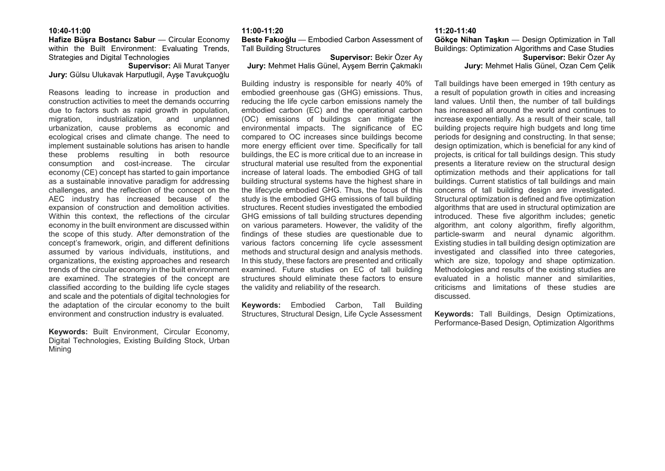#### 10:40-11:00

#### Hafize Büşra Bostancı Sabur — Circular Economy within the Built Environment: Evaluating Trends, Strategies and Digital Technologies

Supervisor: Ali Murat Tanyer Jury: Gülsu Ulukavak Harputlugil, Ayşe Tavukçuoğlu

Reasons leading to increase in production and construction activities to meet the demands occurring due to factors such as rapid growth in population, migration, industrialization, and unplanned urbanization, cause problems as economic and ecological crises and climate change. The need to implement sustainable solutions has arisen to handle these problems resulting in both resource consumption and cost-increase. The circular economy (CE) concept has started to gain importance as a sustainable innovative paradigm for addressing challenges, and the reflection of the concept on the AEC industry has increased because of the expansion of construction and demolition activities. Within this context, the reflections of the circular economy in the built environment are discussed within the scope of this study. After demonstration of the concept's framework, origin, and different definitions assumed by various individuals, institutions, and organizations, the existing approaches and research trends of the circular economy in the built environment are examined. The strategies of the concept are classified according to the building life cycle stages and scale and the potentials of digital technologies for the adaptation of the circular economy to the built environment and construction industry is evaluated.

Keywords: Built Environment, Circular Economy, Digital Technologies, Existing Building Stock, Urban Mining

#### 11:00-11:20

Beste Fakıoğlu — Embodied Carbon Assessment of Tall Building Structures

### Supervisor: Bekir Özer Ay Jury: Mehmet Halis Günel, Ayşem Berrin Çakmaklı

Building industry is responsible for nearly 40% of embodied greenhouse gas (GHG) emissions. Thus, reducing the life cycle carbon emissions namely the embodied carbon (EC) and the operational carbon (OC) emissions of buildings can mitigate the environmental impacts. The significance of EC compared to OC increases since buildings become more energy efficient over time. Specifically for tall buildings, the EC is more critical due to an increase in structural material use resulted from the exponential increase of lateral loads. The embodied GHG of tall building structural systems have the highest share in the lifecycle embodied GHG. Thus, the focus of this study is the embodied GHG emissions of tall building structures. Recent studies investigated the embodied GHG emissions of tall building structures depending on various parameters. However, the validity of the findings of these studies are questionable due to various factors concerning life cycle assessment methods and structural design and analysis methods. In this study, these factors are presented and critically examined. Future studies on EC of tall building structures should eliminate these factors to ensure the validity and reliability of the research.

Keywords: Embodied Carbon, Tall Building Structures, Structural Design, Life Cycle Assessment

# 11:20-11:40 Gökçe Nihan Taşkın — Design Optimization in Tall Buildings: Optimization Algorithms and Case Studies Supervisor: Bekir Özer Ay Jury: Mehmet Halis Günel, Ozan Cem Çelik

Tall buildings have been emerged in 19th century as a result of population growth in cities and increasing land values. Until then, the number of tall buildings has increased all around the world and continues to increase exponentially. As a result of their scale, tall building projects require high budgets and long time periods for designing and constructing. In that sense; design optimization, which is beneficial for any kind of projects, is critical for tall buildings design. This study presents a literature review on the structural design optimization methods and their applications for tall buildings. Current statistics of tall buildings and main concerns of tall building design are investigated. Structural optimization is defined and five optimization algorithms that are used in structural optimization are introduced. These five algorithm includes; genetic algorithm, ant colony algorithm, firefly algorithm, particle-swarm and neural dynamic algorithm. Existing studies in tall building design optimization are investigated and classified into three categories, which are size, topology and shape optimization. Methodologies and results of the existing studies are evaluated in a holistic manner and similarities, criticisms and limitations of these studies are discussed.

Keywords: Tall Buildings, Design Optimizations, Performance-Based Design, Optimization Algorithms